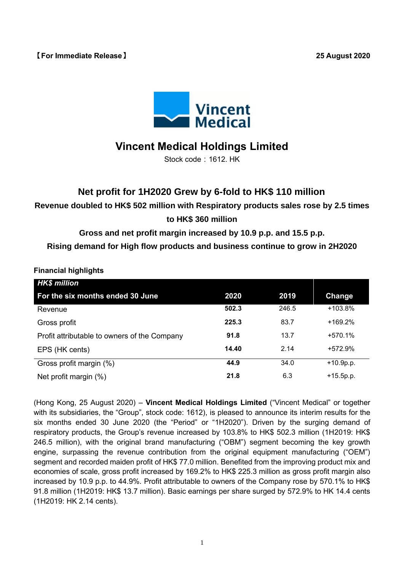## **【For Immediate Release】 25 August 2020**



# **Vincent Medical Holdings Limited**

Stock code: 1612. HK

# **Net profit for 1H2020 Grew by 6-fold to HK\$ 110 million**

**Revenue doubled to HK\$ 502 million with Respiratory products sales rose by 2.5 times to HK\$ 360 million**

# **Gross and net profit margin increased by 10.9 p.p. and 15.5 p.p.**

**Rising demand for High flow products and business continue to grow in 2H2020**

**Financial highlights**

| <b>HK\$ million</b>                          |       |       |             |
|----------------------------------------------|-------|-------|-------------|
| For the six months ended 30 June             | 2020  | 2019  | Change      |
| Revenue                                      | 502.3 | 246.5 | +103.8%     |
| Gross profit                                 | 225.3 | 83.7  | $+169.2%$   |
| Profit attributable to owners of the Company | 91.8  | 13.7  | $+570.1%$   |
| EPS (HK cents)                               | 14.40 | 2.14  | $+572.9%$   |
| Gross profit margin (%)                      | 44.9  | 34.0  | $+10.9p.p.$ |
| Net profit margin (%)                        | 21.8  | 6.3   | $+15.5p.p.$ |

(Hong Kong, 25 August 2020) – **Vincent Medical Holdings Limited** ("Vincent Medical" or together with its subsidiaries, the "Group", stock code: 1612), is pleased to announce its interim results for the six months ended 30 June 2020 (the "Period" or "1H2020"). Driven by the surging demand of respiratory products, the Group's revenue increased by 103.8% to HK\$ 502.3 million (1H2019: HK\$ 246.5 million), with the original brand manufacturing ("OBM") segment becoming the key growth engine, surpassing the revenue contribution from the original equipment manufacturing ("OEM") segment and recorded maiden profit of HK\$ 77.0 million. Benefited from the improving product mix and economies of scale, gross profit increased by 169.2% to HK\$ 225.3 million as gross profit margin also increased by 10.9 p.p. to 44.9%. Profit attributable to owners of the Company rose by 570.1% to HK\$ 91.8 million (1H2019: HK\$ 13.7 million). Basic earnings per share surged by 572.9% to HK 14.4 cents (1H2019: HK 2.14 cents).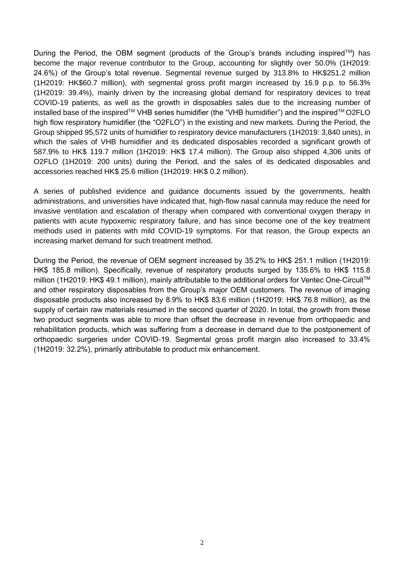During the Period, the OBM segment (products of the Group's brands including inspired<sup>TM</sup>) has become the major revenue contributor to the Group, accounting for slightly over 50.0% (1H2019: 24.6%) of the Group's total revenue. Segmental revenue surged by 313.8% to HK\$251.2 million (1H2019: HK\$60.7 million), with segmental gross profit margin increased by 16.9 p.p. to 56.3% (1H2019: 39.4%), mainly driven by the increasing global demand for respiratory devices to treat COVID-19 patients, as well as the growth in disposables sales due to the increasing number of installed base of the inspired™ VHB series humidifier (the "VHB humidifier") and the inspired™ O2FLO high flow respiratory humidifier (the "O2FLO") in the existing and new markets. During the Period, the Group shipped 95,572 units of humidifier to respiratory device manufacturers (1H2019: 3,840 units), in which the sales of VHB humidifier and its dedicated disposables recorded a significant growth of 587.9% to HK\$ 119.7 million (1H2019: HK\$ 17.4 million). The Group also shipped 4,306 units of O2FLO (1H2019: 200 units) during the Period, and the sales of its dedicated disposables and accessories reached HK\$ 25.6 million (1H2019: HK\$ 0.2 million).

A series of published evidence and guidance documents issued by the governments, health administrations, and universities have indicated that, high-flow nasal cannula may reduce the need for invasive ventilation and escalation of therapy when compared with conventional oxygen therapy in patients with acute hypoxemic respiratory failure, and has since become one of the key treatment methods used in patients with mild COVID-19 symptoms. For that reason, the Group expects an increasing market demand for such treatment method.

During the Period, the revenue of OEM segment increased by 35.2% to HK\$ 251.1 million (1H2019: HK\$ 185.8 million). Specifically, revenue of respiratory products surged by 135.6% to HK\$ 115.8 million (1H2019: HK\$ 49.1 million), mainly attributable to the additional orders for Ventec One-Circuit<sup>™</sup> and other respiratory disposables from the Group's major OEM customers. The revenue of imaging disposable products also increased by 8.9% to HK\$ 83.6 million (1H2019: HK\$ 76.8 million), as the supply of certain raw materials resumed in the second quarter of 2020. In total, the growth from these two product segments was able to more than offset the decrease in revenue from orthopaedic and rehabilitation products, which was suffering from a decrease in demand due to the postponement of orthopaedic surgeries under COVID-19. Segmental gross profit margin also increased to 33.4% (1H2019: 32.2%), primarily attributable to product mix enhancement.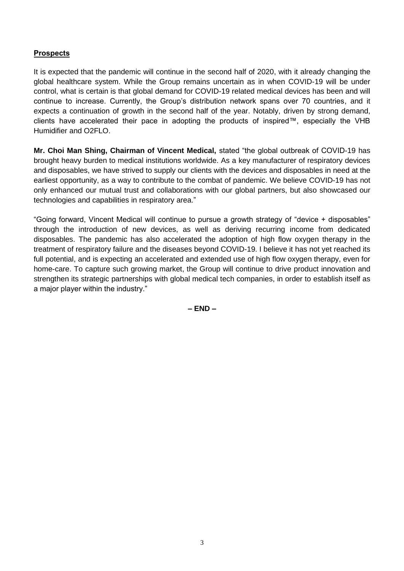### **Prospects**

It is expected that the pandemic will continue in the second half of 2020, with it already changing the global healthcare system. While the Group remains uncertain as in when COVID-19 will be under control, what is certain is that global demand for COVID-19 related medical devices has been and will continue to increase. Currently, the Group's distribution network spans over 70 countries, and it expects a continuation of growth in the second half of the year. Notably, driven by strong demand, clients have accelerated their pace in adopting the products of inspired™, especially the VHB Humidifier and O2FLO.

**Mr. Choi Man Shing, Chairman of Vincent Medical,** stated "the global outbreak of COVID-19 has brought heavy burden to medical institutions worldwide. As a key manufacturer of respiratory devices and disposables, we have strived to supply our clients with the devices and disposables in need at the earliest opportunity, as a way to contribute to the combat of pandemic. We believe COVID-19 has not only enhanced our mutual trust and collaborations with our global partners, but also showcased our technologies and capabilities in respiratory area."

"Going forward, Vincent Medical will continue to pursue a growth strategy of "device + disposables" through the introduction of new devices, as well as deriving recurring income from dedicated disposables. The pandemic has also accelerated the adoption of high flow oxygen therapy in the treatment of respiratory failure and the diseases beyond COVID-19. I believe it has not yet reached its full potential, and is expecting an accelerated and extended use of high flow oxygen therapy, even for home-care. To capture such growing market, the Group will continue to drive product innovation and strengthen its strategic partnerships with global medical tech companies, in order to establish itself as a major player within the industry."

**– END –**